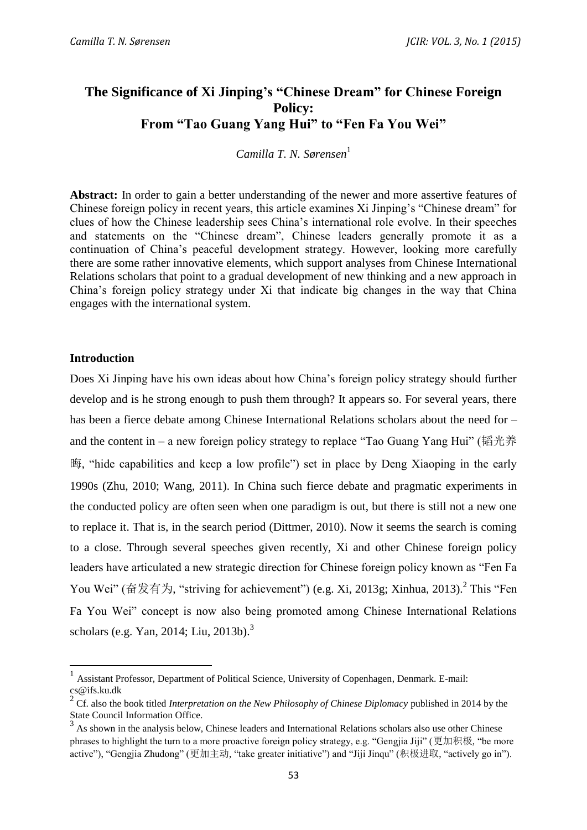# **The Significance of Xi Jinping's "Chinese Dream" for Chinese Foreign Policy: From "Tao Guang Yang Hui" to "Fen Fa You Wei"**

*Camilla T. N. Sørensen*<sup>1</sup>

**Abstract:** In order to gain a better understanding of the newer and more assertive features of Chinese foreign policy in recent years, this article examines Xi Jinping's "Chinese dream" for clues of how the Chinese leadership sees China's international role evolve. In their speeches and statements on the "Chinese dream", Chinese leaders generally promote it as a continuation of China's peaceful development strategy. However, looking more carefully there are some rather innovative elements, which support analyses from Chinese International Relations scholars that point to a gradual development of new thinking and a new approach in China's foreign policy strategy under Xi that indicate big changes in the way that China engages with the international system.

#### **Introduction**

 $\overline{a}$ 

Does Xi Jinping have his own ideas about how China's foreign policy strategy should further develop and is he strong enough to push them through? It appears so. For several years, there has been a fierce debate among Chinese International Relations scholars about the need for – and the content in – a new foreign policy strategy to replace "Tao Guang Yang Hui" (韬光养 晦, "hide capabilities and keep a low profile") set in place by Deng Xiaoping in the early 1990s (Zhu, 2010; Wang, 2011). In China such fierce debate and pragmatic experiments in the conducted policy are often seen when one paradigm is out, but there is still not a new one to replace it. That is, in the search period (Dittmer, 2010). Now it seems the search is coming to a close. Through several speeches given recently, Xi and other Chinese foreign policy leaders have articulated a new strategic direction for Chinese foreign policy known as "Fen Fa You Wei" (奋发有为, "striving for achievement") (e.g. Xi, 2013g; Xinhua, 2013).<sup>2</sup> This "Fen Fa You Wei" concept is now also being promoted among Chinese International Relations scholars (e.g. Yan, 2014; Liu, 2013b). 3

<sup>1</sup> Assistant Professor, Department of Political Science, University of Copenhagen, Denmark. E-mail: cs@ifs.ku.dk

<sup>2</sup> Cf. also the book titled *Interpretation on the New Philosophy of Chinese Diplomacy* published in 2014 by the State Council Information Office.

 $3$  As shown in the analysis below, Chinese leaders and International Relations scholars also use other Chinese phrases to highlight the turn to a more proactive foreign policy strategy, e.g. "Gengjia Jiji" (更加积极, "be more active"), "Gengjia Zhudong" (更加主动, "take greater initiative") and "Jiji Jinqu" (积极进取, "actively go in").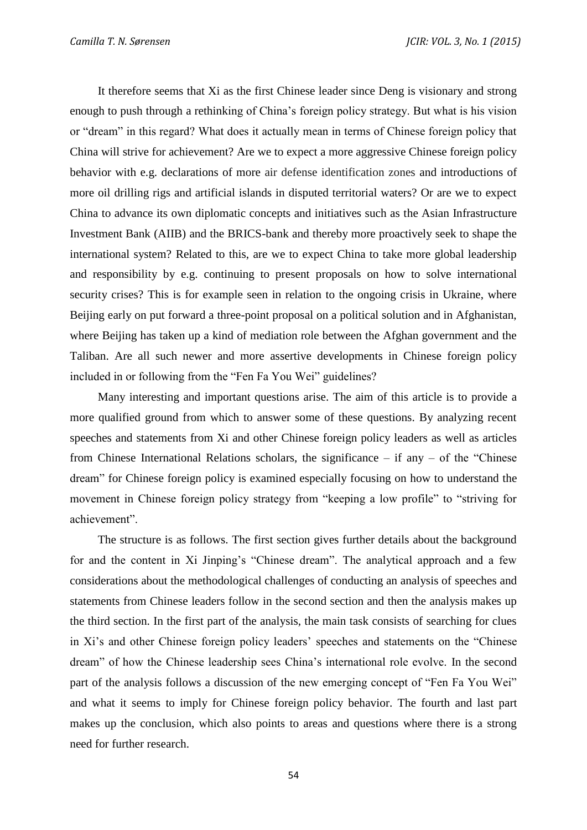It therefore seems that Xi as the first Chinese leader since Deng is visionary and strong enough to push through a rethinking of China's foreign policy strategy. But what is his vision or "dream" in this regard? What does it actually mean in terms of Chinese foreign policy that China will strive for achievement? Are we to expect a more aggressive Chinese foreign policy behavior with e.g. declarations of more air defense identification zones and introductions of more oil drilling rigs and artificial islands in disputed territorial waters? Or are we to expect China to advance its own diplomatic concepts and initiatives such as the Asian Infrastructure Investment Bank (AIIB) and the BRICS-bank and thereby more proactively seek to shape the international system? Related to this, are we to expect China to take more global leadership and responsibility by e.g. continuing to present proposals on how to solve international security crises? This is for example seen in relation to the ongoing crisis in Ukraine, where Beijing early on put forward a three-point proposal on a political solution and in Afghanistan, where Beijing has taken up a kind of mediation role between the Afghan government and the Taliban. Are all such newer and more assertive developments in Chinese foreign policy included in or following from the "Fen Fa You Wei" guidelines?

Many interesting and important questions arise. The aim of this article is to provide a more qualified ground from which to answer some of these questions. By analyzing recent speeches and statements from Xi and other Chinese foreign policy leaders as well as articles from Chinese International Relations scholars, the significance – if any – of the "Chinese dream" for Chinese foreign policy is examined especially focusing on how to understand the movement in Chinese foreign policy strategy from "keeping a low profile" to "striving for achievement".

The structure is as follows. The first section gives further details about the background for and the content in Xi Jinping's "Chinese dream". The analytical approach and a few considerations about the methodological challenges of conducting an analysis of speeches and statements from Chinese leaders follow in the second section and then the analysis makes up the third section. In the first part of the analysis, the main task consists of searching for clues in Xi's and other Chinese foreign policy leaders' speeches and statements on the "Chinese dream" of how the Chinese leadership sees China's international role evolve. In the second part of the analysis follows a discussion of the new emerging concept of "Fen Fa You Wei" and what it seems to imply for Chinese foreign policy behavior. The fourth and last part makes up the conclusion, which also points to areas and questions where there is a strong need for further research.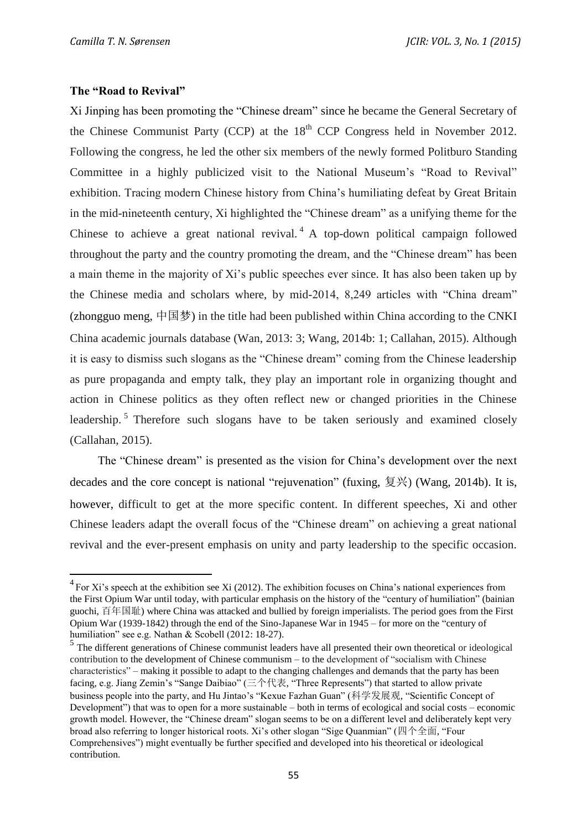### **The "Road to Revival"**

 $\overline{\phantom{a}}$ 

Xi Jinping has been promoting the "Chinese dream" since he became the General Secretary of the Chinese Communist Party (CCP) at the  $18<sup>th</sup>$  CCP Congress held in November 2012. Following the congress, he led the other six members of the newly formed Politburo Standing Committee in a highly publicized visit to the National Museum's "Road to Revival" exhibition. Tracing modern Chinese history from China's humiliating defeat by Great Britain in the mid-nineteenth century, Xi highlighted the "Chinese dream" as a unifying theme for the Chinese to achieve a great national revival.<sup>4</sup> A top-down political campaign followed throughout the party and the country promoting the dream, and the "Chinese dream" has been a main theme in the majority of Xi's public speeches ever since. It has also been taken up by the Chinese media and scholars where, by mid-2014, 8,249 articles with "China dream" (zhongguo meng, 中国梦) in the title had been published within China according to the CNKI China academic journals database (Wan, 2013: 3; Wang, 2014b: 1; Callahan, 2015). Although it is easy to dismiss such slogans as the "Chinese dream" coming from the Chinese leadership as pure propaganda and empty talk, they play an important role in organizing thought and action in Chinese politics as they often reflect new or changed priorities in the Chinese leadership.<sup>5</sup> Therefore such slogans have to be taken seriously and examined closely (Callahan, 2015).

The "Chinese dream" is presented as the vision for China's development over the next decades and the core concept is national "rejuvenation" (fuxing, 复兴) (Wang, 2014b). It is, however, difficult to get at the more specific content. In different speeches, Xi and other Chinese leaders adapt the overall focus of the "Chinese dream" on achieving a great national revival and the ever-present emphasis on unity and party leadership to the specific occasion.

 $^{4}$  For Xi's speech at the exhibition see Xi (2012). The exhibition focuses on China's national experiences from the First Opium War until today, with particular emphasis on the history of the "century of humiliation" (bainian guochi, 百年国耻) where China was attacked and bullied by foreign imperialists. The period goes from the First Opium War (1939-1842) through the end of the Sino-Japanese War in 1945 – for more on the "century of humiliation" see e.g. Nathan & Scobell (2012: 18-27).

<sup>&</sup>lt;sup>5</sup> The different generations of Chinese communist leaders have all presented their own theoretical or ideological contribution to the development of Chinese communism – to the development of "socialism with Chinese characteristics" – making it possible to adapt to the changing challenges and demands that the party has been facing, e.g. Jiang Zemin's "Sange Daibiao" (三个代表, "Three Represents") that started to allow private business people into the party, and Hu Jintao's "Kexue Fazhan Guan" (科学发展观, "Scientific Concept of Development") that was to open for a more sustainable – both in terms of ecological and social costs – economic growth model. However, the "Chinese dream" slogan seems to be on a different level and deliberately kept very broad also referring to longer historical roots. Xi's other slogan "Sige Quanmian" (四个全面, "Four Comprehensives") might eventually be further specified and developed into his theoretical or ideological contribution.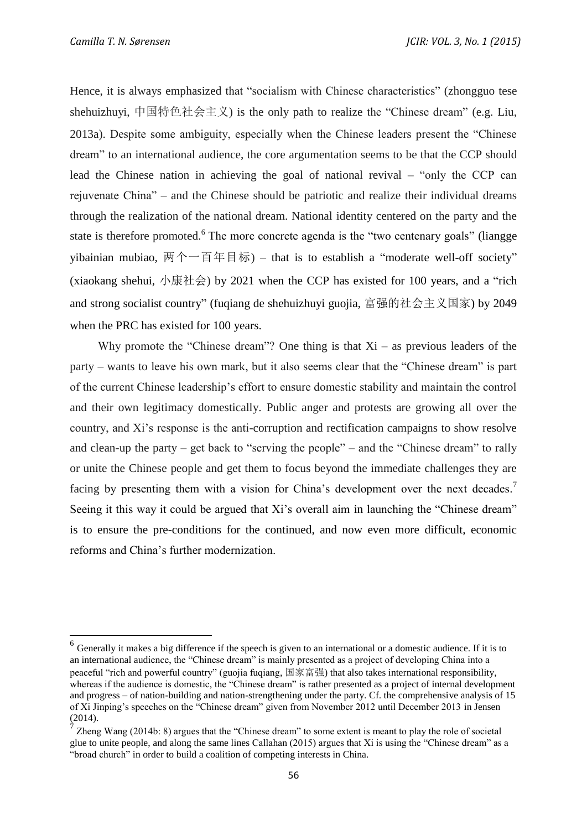$\overline{a}$ 

Hence, it is always emphasized that "socialism with Chinese characteristics" (zhongguo tese shehuizhuyi, 中国特色社会主义) is the only path to realize the "Chinese dream" (e.g. Liu, 2013a). Despite some ambiguity, especially when the Chinese leaders present the "Chinese dream" to an international audience, the core argumentation seems to be that the CCP should lead the Chinese nation in achieving the goal of national revival – "only the CCP can rejuvenate China" – and the Chinese should be patriotic and realize their individual dreams through the realization of the national dream. National identity centered on the party and the state is therefore promoted.<sup>6</sup> The more concrete agenda is the "two centenary goals" (liangge yibainian mubiao, 两个一百年目标) – that is to establish a "moderate well-off society" (xiaokang shehui, 小康社会) by 2021 when the CCP has existed for 100 years, and a "rich and strong socialist country" (fuqiang de shehuizhuyi guojia, 富强的社会主义国家) by 2049 when the PRC has existed for 100 years.

Why promote the "Chinese dream"? One thing is that  $Xi$  – as previous leaders of the party – wants to leave his own mark, but it also seems clear that the "Chinese dream" is part of the current Chinese leadership's effort to ensure domestic stability and maintain the control and their own legitimacy domestically. Public anger and protests are growing all over the country, and Xi's response is the anti-corruption and rectification campaigns to show resolve and clean-up the party – get back to "serving the people" – and the "Chinese dream" to rally or unite the Chinese people and get them to focus beyond the immediate challenges they are facing by presenting them with a vision for China's development over the next decades.<sup>7</sup> Seeing it this way it could be argued that Xi's overall aim in launching the "Chinese dream" is to ensure the pre-conditions for the continued, and now even more difficult, economic reforms and China's further modernization.

 $<sup>6</sup>$  Generally it makes a big difference if the speech is given to an international or a domestic audience. If it is to</sup> an international audience, the "Chinese dream" is mainly presented as a project of developing China into a peaceful "rich and powerful country" (guojia fuqiang, 国家富强) that also takes international responsibility, whereas if the audience is domestic, the "Chinese dream" is rather presented as a project of internal development and progress – of nation-building and nation-strengthening under the party. Cf. the comprehensive analysis of 15 of Xi Jinping's speeches on the "Chinese dream" given from November 2012 until December 2013 in Jensen (2014).

<sup>7</sup> Zheng Wang (2014b: 8) argues that the "Chinese dream" to some extent is meant to play the role of societal glue to unite people, and along the same lines Callahan (2015) argues that Xi is using the "Chinese dream" as a "broad church" in order to build a coalition of competing interests in China.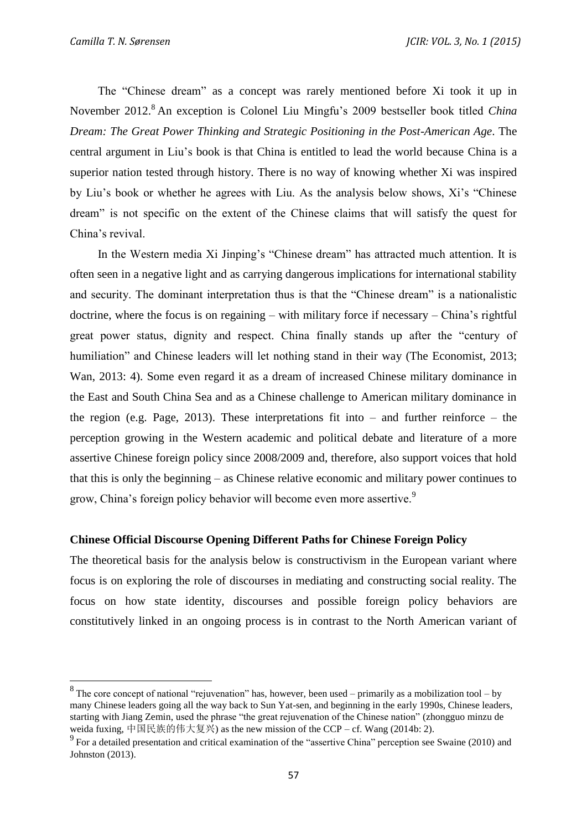The "Chinese dream" as a concept was rarely mentioned before Xi took it up in November 2012. <sup>8</sup> An exception is Colonel Liu Mingfu's 2009 bestseller book titled *China Dream: The Great Power Thinking and Strategic Positioning in the Post-American Age*. The central argument in Liu's book is that China is entitled to lead the world because China is a superior nation tested through history. There is no way of knowing whether Xi was inspired by Liu's book or whether he agrees with Liu. As the analysis below shows, Xi's "Chinese dream" is not specific on the extent of the Chinese claims that will satisfy the quest for China's revival.

In the Western media Xi Jinping's "Chinese dream" has attracted much attention. It is often seen in a negative light and as carrying dangerous implications for international stability and security. The dominant interpretation thus is that the "Chinese dream" is a nationalistic doctrine, where the focus is on regaining – with military force if necessary – China's rightful great power status, dignity and respect. China finally stands up after the "century of humiliation" and Chinese leaders will let nothing stand in their way (The Economist, 2013; Wan, 2013: 4). Some even regard it as a dream of increased Chinese military dominance in the East and South China Sea and as a Chinese challenge to American military dominance in the region (e.g. Page, 2013). These interpretations fit into – and further reinforce – the perception growing in the Western academic and political debate and literature of a more assertive Chinese foreign policy since 2008/2009 and, therefore, also support voices that hold that this is only the beginning – as Chinese relative economic and military power continues to grow, China's foreign policy behavior will become even more assertive.<sup>9</sup>

#### **Chinese Official Discourse Opening Different Paths for Chinese Foreign Policy**

The theoretical basis for the analysis below is constructivism in the European variant where focus is on exploring the role of discourses in mediating and constructing social reality. The focus on how state identity, discourses and possible foreign policy behaviors are constitutively linked in an ongoing process is in contrast to the North American variant of

<sup>&</sup>lt;sup>8</sup>The core concept of national "rejuvenation" has, however, been used – primarily as a mobilization tool – by many Chinese leaders going all the way back to Sun Yat-sen, and beginning in the early 1990s, Chinese leaders, starting with Jiang Zemin, used the phrase "the great rejuvenation of the Chinese nation" (zhongguo minzu de weida fuxing, 中国民族的伟大复兴) as the new mission of the CCP – cf. Wang (2014b: 2).

<sup>&</sup>lt;sup>9</sup> For a detailed presentation and critical examination of the "assertive China" perception see Swaine (2010) and Johnston (2013).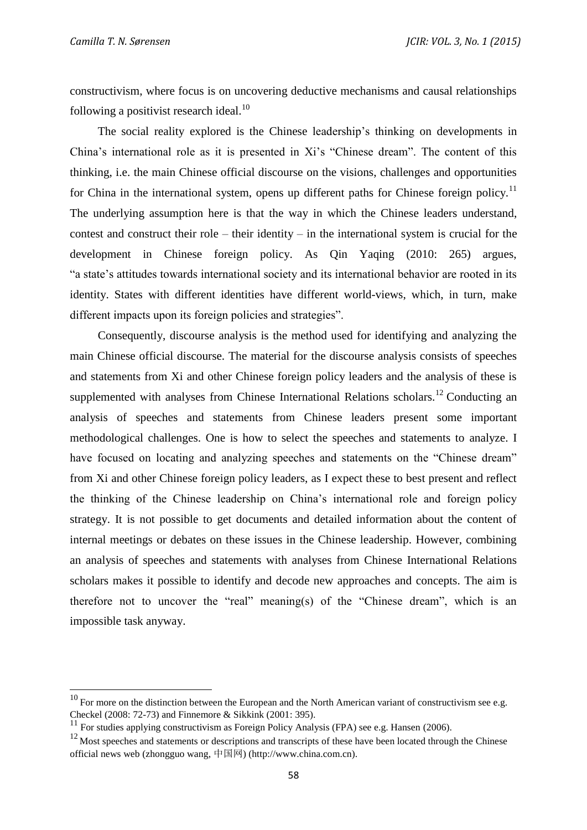constructivism, where focus is on uncovering deductive mechanisms and causal relationships following a positivist research ideal. $^{10}$ 

The social reality explored is the Chinese leadership's thinking on developments in China's international role as it is presented in Xi's "Chinese dream". The content of this thinking, i.e. the main Chinese official discourse on the visions, challenges and opportunities for China in the international system, opens up different paths for Chinese foreign policy.<sup>11</sup> The underlying assumption here is that the way in which the Chinese leaders understand, contest and construct their role – their identity – in the international system is crucial for the development in Chinese foreign policy. As Qin Yaqing (2010: 265) argues, "a state's attitudes towards international society and its international behavior are rooted in its identity. States with different identities have different world-views, which, in turn, make different impacts upon its foreign policies and strategies".

Consequently, discourse analysis is the method used for identifying and analyzing the main Chinese official discourse. The material for the discourse analysis consists of speeches and statements from Xi and other Chinese foreign policy leaders and the analysis of these is supplemented with analyses from Chinese International Relations scholars.<sup>12</sup> Conducting an analysis of speeches and statements from Chinese leaders present some important methodological challenges. One is how to select the speeches and statements to analyze. I have focused on locating and analyzing speeches and statements on the "Chinese dream" from Xi and other Chinese foreign policy leaders, as I expect these to best present and reflect the thinking of the Chinese leadership on China's international role and foreign policy strategy. It is not possible to get documents and detailed information about the content of internal meetings or debates on these issues in the Chinese leadership. However, combining an analysis of speeches and statements with analyses from Chinese International Relations scholars makes it possible to identify and decode new approaches and concepts. The aim is therefore not to uncover the "real" meaning(s) of the "Chinese dream", which is an impossible task anyway.

 $10$  For more on the distinction between the European and the North American variant of constructivism see e.g. Checkel (2008: 72-73) and Finnemore & Sikkink (2001: 395).

 $11$  For studies applying constructivism as Foreign Policy Analysis (FPA) see e.g. Hansen (2006).

 $12$  Most speeches and statements or descriptions and transcripts of these have been located through the Chinese official news web (zhongguo wang, 中国网) (http://www.china.com.cn).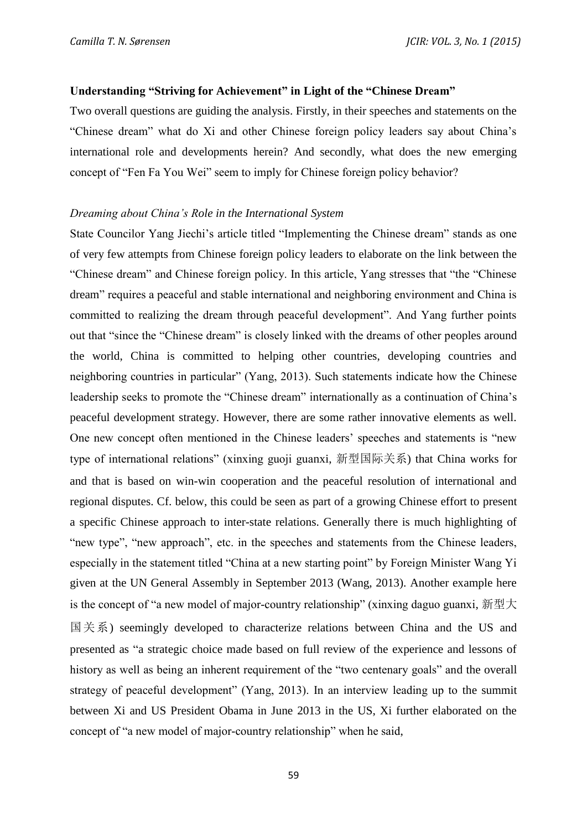#### **Understanding "Striving for Achievement" in Light of the "Chinese Dream"**

Two overall questions are guiding the analysis. Firstly, in their speeches and statements on the "Chinese dream" what do Xi and other Chinese foreign policy leaders say about China's international role and developments herein? And secondly, what does the new emerging concept of "Fen Fa You Wei" seem to imply for Chinese foreign policy behavior?

### *Dreaming about China's Role in the International System*

State Councilor Yang Jiechi's article titled "Implementing the Chinese dream" stands as one of very few attempts from Chinese foreign policy leaders to elaborate on the link between the "Chinese dream" and Chinese foreign policy. In this article, Yang stresses that "the "Chinese dream" requires a peaceful and stable international and neighboring environment and China is committed to realizing the dream through peaceful development". And Yang further points out that "since the "Chinese dream" is closely linked with the dreams of other peoples around the world, China is committed to helping other countries, developing countries and neighboring countries in particular" (Yang, 2013). Such statements indicate how the Chinese leadership seeks to promote the "Chinese dream" internationally as a continuation of China's peaceful development strategy. However, there are some rather innovative elements as well. One new concept often mentioned in the Chinese leaders' speeches and statements is "new type of international relations" (xinxing guoji guanxi, 新型国际关系) that China works for and that is based on win-win cooperation and the peaceful resolution of international and regional disputes. Cf. below, this could be seen as part of a growing Chinese effort to present a specific Chinese approach to inter-state relations. Generally there is much highlighting of "new type", "new approach", etc. in the speeches and statements from the Chinese leaders, especially in the statement titled "China at a new starting point" by Foreign Minister Wang Yi given at the UN General Assembly in September 2013 (Wang, 2013). Another example here is the concept of "a new model of major-country relationship" (xinxing daguo guanxi, 新型大 国关系) seemingly developed to characterize relations between China and the US and presented as "a strategic choice made based on full review of the experience and lessons of history as well as being an inherent requirement of the "two centenary goals" and the overall strategy of peaceful development" (Yang, 2013). In an interview leading up to the summit between Xi and US President Obama in June 2013 in the US, Xi further elaborated on the concept of "a new model of major-country relationship" when he said,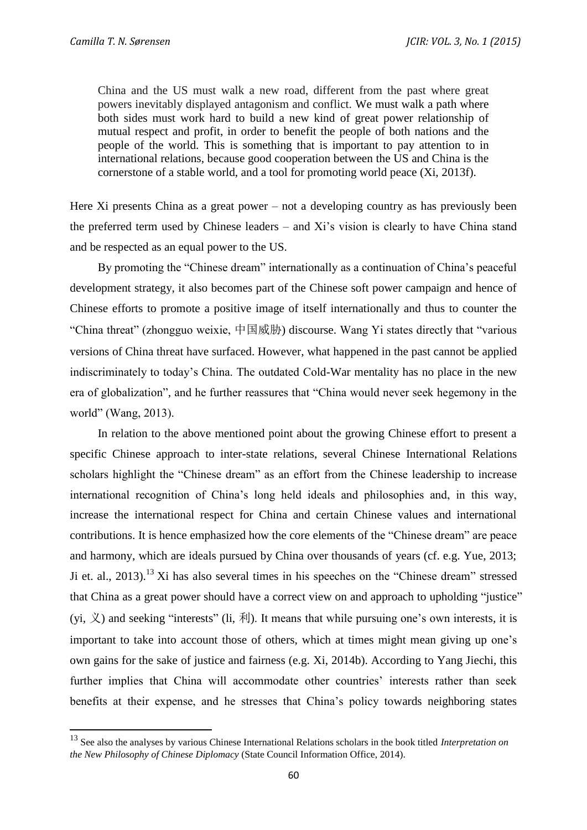China and the US must walk a new road, different from the past where great powers inevitably displayed antagonism and conflict. We must walk a path where both sides must work hard to build a new kind of great power relationship of mutual respect and profit, in order to benefit the people of both nations and the people of the world. This is something that is important to pay attention to in international relations, because good cooperation between the US and China is the cornerstone of a stable world, and a tool for promoting world peace (Xi, 2013f).

Here Xi presents China as a great power – not a developing country as has previously been the preferred term used by Chinese leaders – and Xi's vision is clearly to have China stand and be respected as an equal power to the US.

By promoting the "Chinese dream" internationally as a continuation of China's peaceful development strategy, it also becomes part of the Chinese soft power campaign and hence of Chinese efforts to promote a positive image of itself internationally and thus to counter the "China threat" (zhongguo weixie, 中国威胁) discourse. Wang Yi states directly that "various versions of China threat have surfaced. However, what happened in the past cannot be applied indiscriminately to today's China. The outdated Cold-War mentality has no place in the new era of globalization", and he further reassures that "China would never seek hegemony in the world" (Wang, 2013).

In relation to the above mentioned point about the growing Chinese effort to present a specific Chinese approach to inter-state relations, several Chinese International Relations scholars highlight the "Chinese dream" as an effort from the Chinese leadership to increase international recognition of China's long held ideals and philosophies and, in this way, increase the international respect for China and certain Chinese values and international contributions. It is hence emphasized how the core elements of the "Chinese dream" are peace and harmony, which are ideals pursued by China over thousands of years (cf. e.g. Yue, 2013; Ji et. al.,  $2013$ .<sup>13</sup> Xi has also several times in his speeches on the "Chinese dream" stressed that China as a great power should have a correct view on and approach to upholding "justice" (yi,  $\chi$ ) and seeking "interests" (li,  $\bar{x}$ ). It means that while pursuing one's own interests, it is important to take into account those of others, which at times might mean giving up one's own gains for the sake of justice and fairness (e.g. Xi, 2014b). According to Yang Jiechi, this further implies that China will accommodate other countries' interests rather than seek benefits at their expense, and he stresses that China's policy towards neighboring states

<sup>13</sup> See also the analyses by various Chinese International Relations scholars in the book titled *Interpretation on the New Philosophy of Chinese Diplomacy* (State Council Information Office, 2014).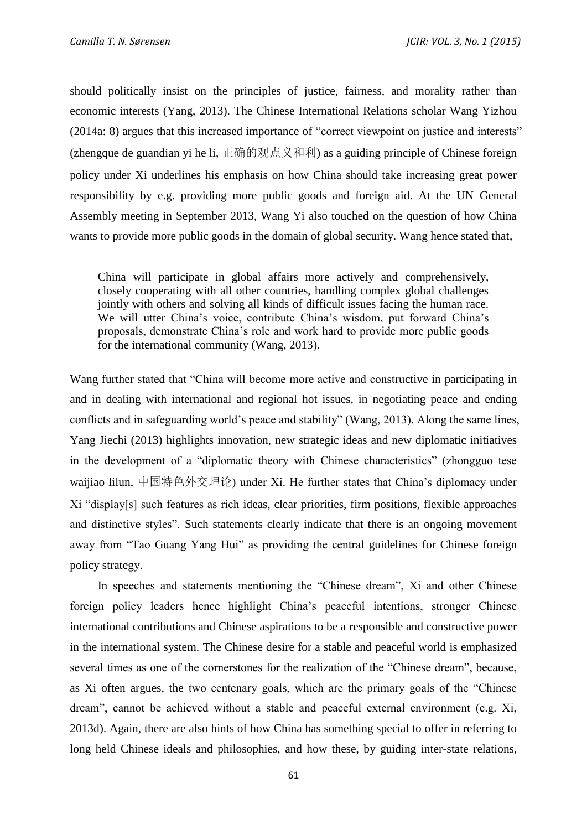should politically insist on the principles of justice, fairness, and morality rather than economic interests (Yang, 2013). The Chinese International Relations scholar Wang Yizhou (2014a: 8) argues that this increased importance of "correct viewpoint on justice and interests" (zhengque de guandian yi he li, 正确的观点义和利) as a guiding principle of Chinese foreign policy under Xi underlines his emphasis on how China should take increasing great power responsibility by e.g. providing more public goods and foreign aid. At the UN General Assembly meeting in September 2013, Wang Yi also touched on the question of how China wants to provide more public goods in the domain of global security. Wang hence stated that,

China will participate in global affairs more actively and comprehensively, closely cooperating with all other countries, handling complex global challenges jointly with others and solving all kinds of difficult issues facing the human race. We will utter China's voice, contribute China's wisdom, put forward China's proposals, demonstrate China's role and work hard to provide more public goods for the international community (Wang, 2013).

Wang further stated that "China will become more active and constructive in participating in and in dealing with international and regional hot issues, in negotiating peace and ending conflicts and in safeguarding world's peace and stability" (Wang, 2013). Along the same lines, Yang Jiechi (2013) highlights innovation, new strategic ideas and new diplomatic initiatives in the development of a "diplomatic theory with Chinese characteristics" (zhongguo tese waijiao lilun, 中国特色外交理论) under Xi. He further states that China's diplomacy under Xi "display[s] such features as rich ideas, clear priorities, firm positions, flexible approaches and distinctive styles". Such statements clearly indicate that there is an ongoing movement away from "Tao Guang Yang Hui" as providing the central guidelines for Chinese foreign policy strategy.

In speeches and statements mentioning the "Chinese dream", Xi and other Chinese foreign policy leaders hence highlight China's peaceful intentions, stronger Chinese international contributions and Chinese aspirations to be a responsible and constructive power in the international system. The Chinese desire for a stable and peaceful world is emphasized several times as one of the cornerstones for the realization of the "Chinese dream", because, as Xi often argues, the two centenary goals, which are the primary goals of the "Chinese dream", cannot be achieved without a stable and peaceful external environment (e.g. Xi, 2013d). Again, there are also hints of how China has something special to offer in referring to long held Chinese ideals and philosophies, and how these, by guiding inter-state relations,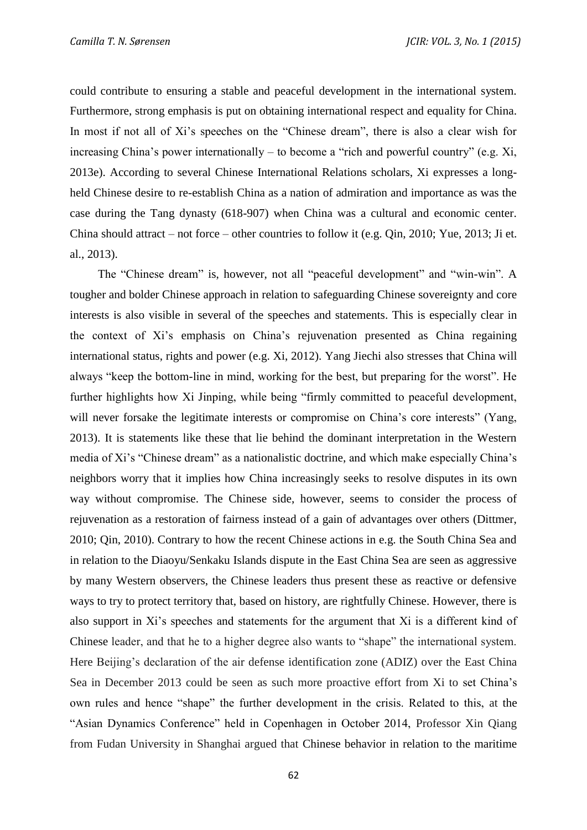could contribute to ensuring a stable and peaceful development in the international system. Furthermore, strong emphasis is put on obtaining international respect and equality for China. In most if not all of Xi's speeches on the "Chinese dream", there is also a clear wish for increasing China's power internationally – to become a "rich and powerful country" (e.g. Xi, 2013e). According to several Chinese International Relations scholars, Xi expresses a longheld Chinese desire to re-establish China as a nation of admiration and importance as was the case during the Tang dynasty (618-907) when China was a cultural and economic center. China should attract – not force – other countries to follow it (e.g. Qin, 2010; Yue, 2013; Ji et. al., 2013).

The "Chinese dream" is, however, not all "peaceful development" and "win-win". A tougher and bolder Chinese approach in relation to safeguarding Chinese sovereignty and core interests is also visible in several of the speeches and statements. This is especially clear in the context of Xi's emphasis on China's rejuvenation presented as China regaining international status, rights and power (e.g. Xi, 2012). Yang Jiechi also stresses that China will always "keep the bottom-line in mind, working for the best, but preparing for the worst". He further highlights how Xi Jinping, while being "firmly committed to peaceful development, will never forsake the legitimate interests or compromise on China's core interests" (Yang, 2013). It is statements like these that lie behind the dominant interpretation in the Western media of Xi's "Chinese dream" as a nationalistic doctrine, and which make especially China's neighbors worry that it implies how China increasingly seeks to resolve disputes in its own way without compromise. The Chinese side, however, seems to consider the process of rejuvenation as a restoration of fairness instead of a gain of advantages over others (Dittmer, 2010; Qin, 2010). Contrary to how the recent Chinese actions in e.g. the South China Sea and in relation to the Diaoyu/Senkaku Islands dispute in the East China Sea are seen as aggressive by many Western observers, the Chinese leaders thus present these as reactive or defensive ways to try to protect territory that, based on history, are rightfully Chinese. However, there is also support in Xi's speeches and statements for the argument that Xi is a different kind of Chinese leader, and that he to a higher degree also wants to "shape" the international system. Here Beijing's declaration of the air defense identification zone (ADIZ) over the East China Sea in December 2013 could be seen as such more proactive effort from Xi to set China's own rules and hence "shape" the further development in the crisis. Related to this, at the "Asian Dynamics Conference" held in Copenhagen in October 2014, Professor Xin Qiang from Fudan University in Shanghai argued that Chinese behavior in relation to the maritime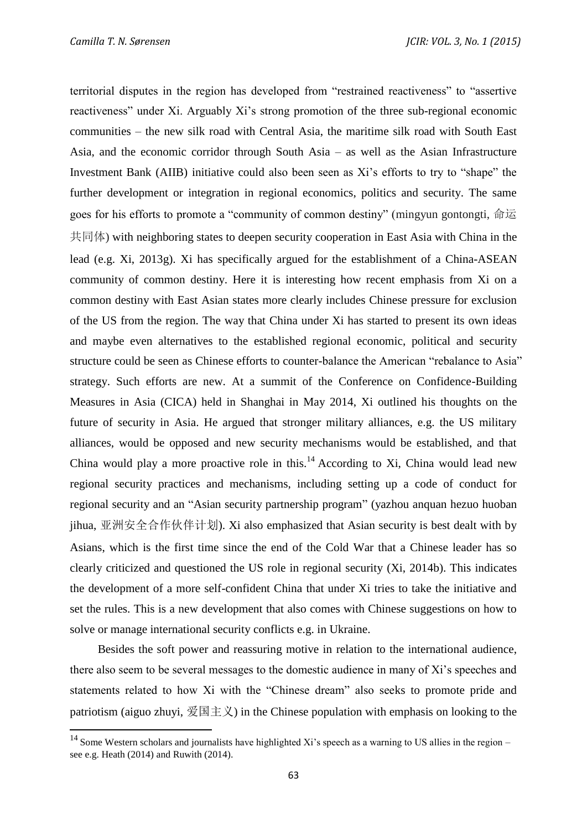territorial disputes in the region has developed from "restrained reactiveness" to "assertive reactiveness" under Xi. Arguably Xi's strong promotion of the three sub-regional economic communities – the new silk road with Central Asia, the maritime silk road with South East Asia, and the economic corridor through South Asia – as well as the Asian Infrastructure Investment Bank (AIIB) initiative could also been seen as Xi's efforts to try to "shape" the further development or integration in regional economics, politics and security. The same goes for his efforts to promote a "community of common destiny" (mingyun gontongti, 命运 共同体) with neighboring states to deepen security cooperation in East Asia with China in the lead (e.g. Xi, 2013g). Xi has specifically argued for the establishment of a China-ASEAN community of common destiny. Here it is interesting how recent emphasis from Xi on a common destiny with East Asian states more clearly includes Chinese pressure for exclusion of the US from the region. The way that China under Xi has started to present its own ideas and maybe even alternatives to the established regional economic, political and security structure could be seen as Chinese efforts to counter-balance the American "rebalance to Asia" strategy. Such efforts are new. At a summit of the Conference on Confidence-Building Measures in Asia (CICA) held in Shanghai in May 2014, Xi outlined his thoughts on the future of security in Asia. He argued that stronger military alliances, e.g. the US military alliances, would be opposed and new security mechanisms would be established, and that China would play a more proactive role in this.<sup>14</sup> According to Xi, China would lead new regional security practices and mechanisms, including setting up a code of conduct for regional security and an "Asian security partnership program" (yazhou anquan hezuo huoban jihua, 亚洲安全合作伙伴计划). Xi also emphasized that Asian security is best dealt with by Asians, which is the first time since the end of the Cold War that a Chinese leader has so clearly criticized and questioned the US role in regional security (Xi, 2014b). This indicates the development of a more self-confident China that under Xi tries to take the initiative and set the rules. This is a new development that also comes with Chinese suggestions on how to solve or manage international security conflicts e.g. in Ukraine.

Besides the soft power and reassuring motive in relation to the international audience, there also seem to be several messages to the domestic audience in many of Xi's speeches and statements related to how Xi with the "Chinese dream" also seeks to promote pride and patriotism (aiguo zhuyi, 爱国主义) in the Chinese population with emphasis on looking to the

 $14$  Some Western scholars and journalists have highlighted Xi's speech as a warning to US allies in the region – see e.g. Heath (2014) and Ruwith (2014).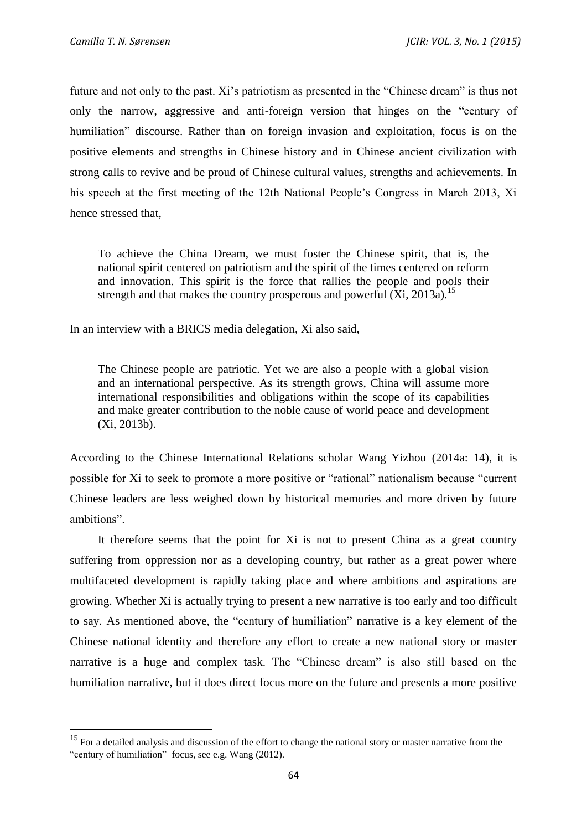future and not only to the past. Xi's patriotism as presented in the "Chinese dream" is thus not only the narrow, aggressive and anti-foreign version that hinges on the "century of humiliation" discourse. Rather than on foreign invasion and exploitation, focus is on the positive elements and strengths in Chinese history and in Chinese ancient civilization with strong calls to revive and be proud of Chinese cultural values, strengths and achievements. In his speech at the first meeting of the 12th National People's Congress in March 2013, Xi hence stressed that,

To achieve the China Dream, we must foster the Chinese spirit, that is, the national spirit centered on patriotism and the spirit of the times centered on reform and innovation. This spirit is the force that rallies the people and pools their strength and that makes the country prosperous and powerful  $(X_i, 2013a)$ .<sup>15</sup>

In an interview with a BRICS media delegation, Xi also said,

The Chinese people are patriotic. Yet we are also a people with a global vision and an international perspective. As its strength grows, China will assume more international responsibilities and obligations within the scope of its capabilities and make greater contribution to the noble cause of world peace and development (Xi, 2013b).

According to the Chinese International Relations scholar Wang Yizhou (2014a: 14), it is possible for Xi to seek to promote a more positive or "rational" nationalism because "current Chinese leaders are less weighed down by historical memories and more driven by future ambitions".

It therefore seems that the point for Xi is not to present China as a great country suffering from oppression nor as a developing country, but rather as a great power where multifaceted development is rapidly taking place and where ambitions and aspirations are growing. Whether Xi is actually trying to present a new narrative is too early and too difficult to say. As mentioned above, the "century of humiliation" narrative is a key element of the Chinese national identity and therefore any effort to create a new national story or master narrative is a huge and complex task. The "Chinese dream" is also still based on the humiliation narrative, but it does direct focus more on the future and presents a more positive

<sup>&</sup>lt;sup>15</sup> For a detailed analysis and discussion of the effort to change the national story or master narrative from the "century of humiliation" focus, see e.g. Wang (2012).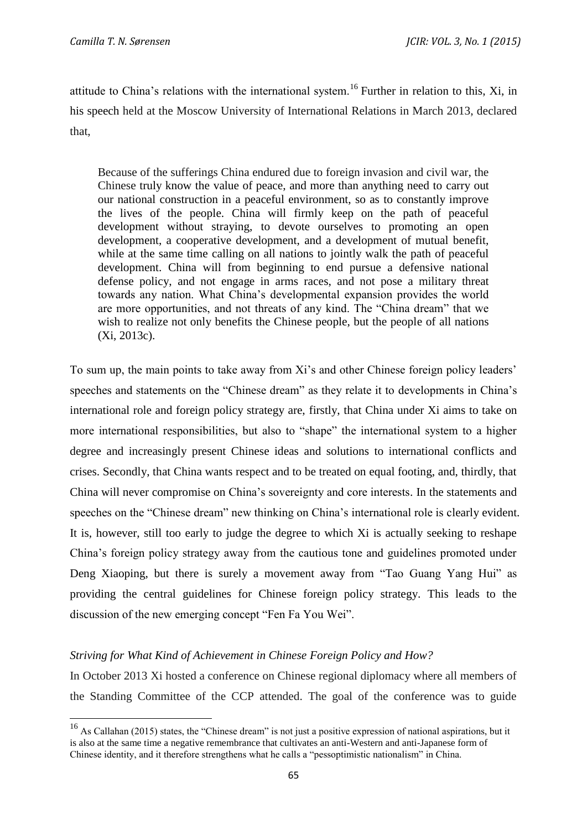attitude to China's relations with the international system.<sup>16</sup> Further in relation to this, Xi, in his speech held at the Moscow University of International Relations in March 2013, declared that,

Because of the sufferings China endured due to foreign invasion and civil war, the Chinese truly know the value of peace, and more than anything need to carry out our national construction in a peaceful environment, so as to constantly improve the lives of the people. China will firmly keep on the path of peaceful development without straying, to devote ourselves to promoting an open development, a cooperative development, and a development of mutual benefit, while at the same time calling on all nations to jointly walk the path of peaceful development. China will from beginning to end pursue a defensive national defense policy, and not engage in arms races, and not pose a military threat towards any nation. What China's developmental expansion provides the world are more opportunities, and not threats of any kind. The "China dream" that we wish to realize not only benefits the Chinese people, but the people of all nations (Xi, 2013c).

To sum up, the main points to take away from Xi's and other Chinese foreign policy leaders' speeches and statements on the "Chinese dream" as they relate it to developments in China's international role and foreign policy strategy are, firstly, that China under Xi aims to take on more international responsibilities, but also to "shape" the international system to a higher degree and increasingly present Chinese ideas and solutions to international conflicts and crises. Secondly, that China wants respect and to be treated on equal footing, and, thirdly, that China will never compromise on China's sovereignty and core interests. In the statements and speeches on the "Chinese dream" new thinking on China's international role is clearly evident. It is, however, still too early to judge the degree to which Xi is actually seeking to reshape China's foreign policy strategy away from the cautious tone and guidelines promoted under Deng Xiaoping, but there is surely a movement away from "Tao Guang Yang Hui" as providing the central guidelines for Chinese foreign policy strategy. This leads to the discussion of the new emerging concept "Fen Fa You Wei".

# *Striving for What Kind of Achievement in Chinese Foreign Policy and How?*

In October 2013 Xi hosted a conference on Chinese regional diplomacy where all members of the Standing Committee of the CCP attended. The goal of the conference was to guide

 $16$  As Callahan (2015) states, the "Chinese dream" is not just a positive expression of national aspirations, but it is also at the same time a negative remembrance that cultivates an anti-Western and anti-Japanese form of Chinese identity, and it therefore strengthens what he calls a "pessoptimistic nationalism" in China.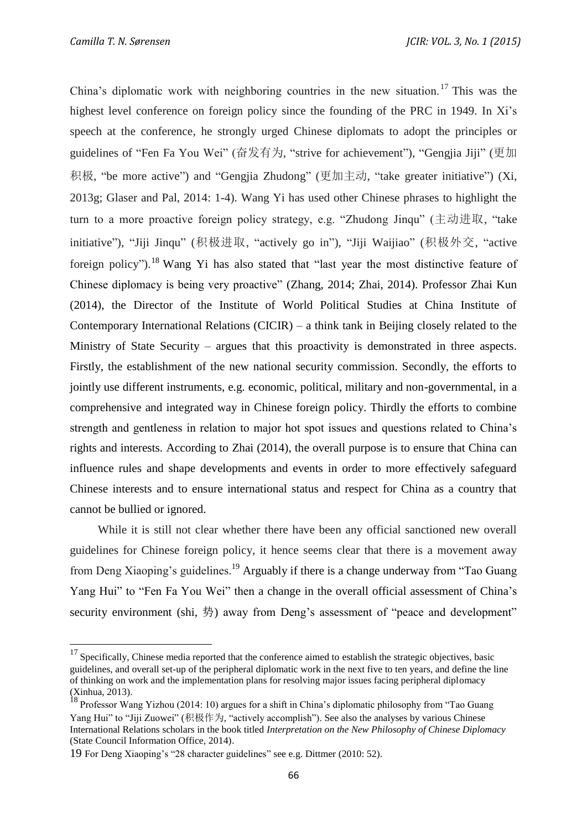China's diplomatic work with neighboring countries in the new situation.<sup>17</sup> This was the highest level conference on foreign policy since the founding of the PRC in 1949. In Xi's speech at the conference, he strongly urged Chinese diplomats to adopt the principles or guidelines of "Fen Fa You Wei" (奋发有为, "strive for achievement"), "Gengjia Jiji" (更加 积极, "be more active") and "Gengjia Zhudong" (更加主动, "take greater initiative") (Xi, 2013g; Glaser and Pal, 2014: 1-4). Wang Yi has used other Chinese phrases to highlight the turn to a more proactive foreign policy strategy, e.g. "Zhudong Jinqu" (主动进取, "take initiative"), "Jiji Jinqu" (积极进取, "actively go in"), "Jiji Waijiao" (积极外交, "active foreign policy").<sup>18</sup> Wang Yi has also stated that "last year the most distinctive feature of Chinese diplomacy is being very proactive" (Zhang, 2014; Zhai, 2014). Professor Zhai Kun (2014), the Director of the Institute of World Political Studies at China Institute of Contemporary International Relations (CICIR) – a think tank in Beijing closely related to the Ministry of State Security – argues that this proactivity is demonstrated in three aspects. Firstly, the establishment of the new national security commission. Secondly, the efforts to jointly use different instruments, e.g. economic, political, military and non-governmental, in a comprehensive and integrated way in Chinese foreign policy. Thirdly the efforts to combine strength and gentleness in relation to major hot spot issues and questions related to China's rights and interests. According to Zhai (2014), the overall purpose is to ensure that China can influence rules and shape developments and events in order to more effectively safeguard Chinese interests and to ensure international status and respect for China as a country that cannot be bullied or ignored.

While it is still not clear whether there have been any official sanctioned new overall guidelines for Chinese foreign policy, it hence seems clear that there is a movement away from Deng Xiaoping's guidelines.<sup>19</sup> Arguably if there is a change underway from "Tao Guang" Yang Hui" to "Fen Fa You Wei" then a change in the overall official assessment of China's security environment (shi, 势) away from Deng's assessment of "peace and development"

 $17$  Specifically, Chinese media reported that the conference aimed to establish the strategic objectives, basic guidelines, and overall set-up of the peripheral diplomatic work in the next five to ten years, and define the line of thinking on work and the implementation plans for resolving major issues facing peripheral diplomacy (Xinhua, 2013).

<sup>&</sup>lt;sup>18</sup> Professor Wang Yizhou (2014: 10) argues for a shift in China's diplomatic philosophy from "Tao Guang" Yang Hui" to "Jiji Zuowei" (积极作为, "actively accomplish"). See also the analyses by various Chinese International Relations scholars in the book titled *Interpretation on the New Philosophy of Chinese Diplomacy* (State Council Information Office, 2014).

<sup>19</sup> For Deng Xiaoping's "28 character guidelines" see e.g. Dittmer (2010: 52).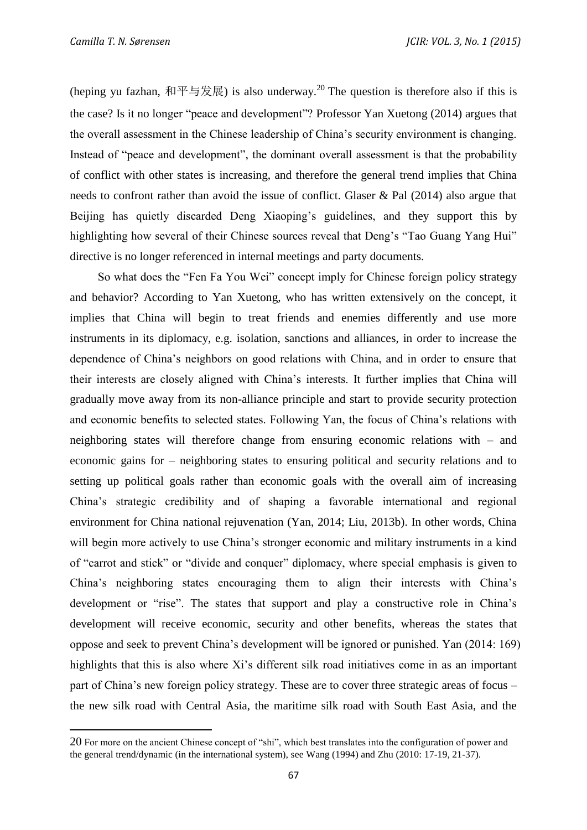(heping yu fazhan, 和平与发展) is also underway.<sup>20</sup> The question is therefore also if this is the case? Is it no longer "peace and development"? Professor Yan Xuetong (2014) argues that the overall assessment in the Chinese leadership of China's security environment is changing. Instead of "peace and development", the dominant overall assessment is that the probability of conflict with other states is increasing, and therefore the general trend implies that China needs to confront rather than avoid the issue of conflict. Glaser & Pal (2014) also argue that Beijing has quietly discarded Deng Xiaoping's guidelines, and they support this by highlighting how several of their Chinese sources reveal that Deng's "Tao Guang Yang Hui" directive is no longer referenced in internal meetings and party documents.

So what does the "Fen Fa You Wei" concept imply for Chinese foreign policy strategy and behavior? According to Yan Xuetong, who has written extensively on the concept, it implies that China will begin to treat friends and enemies differently and use more instruments in its diplomacy, e.g. isolation, sanctions and alliances, in order to increase the dependence of China's neighbors on good relations with China, and in order to ensure that their interests are closely aligned with China's interests. It further implies that China will gradually move away from its non-alliance principle and start to provide security protection and economic benefits to selected states. Following Yan, the focus of China's relations with neighboring states will therefore change from ensuring economic relations with – and economic gains for – neighboring states to ensuring political and security relations and to setting up political goals rather than economic goals with the overall aim of increasing China's strategic credibility and of shaping a favorable international and regional environment for China national rejuvenation (Yan, 2014; Liu, 2013b). In other words, China will begin more actively to use China's stronger economic and military instruments in a kind of "carrot and stick" or "divide and conquer" diplomacy, where special emphasis is given to China's neighboring states encouraging them to align their interests with China's development or "rise". The states that support and play a constructive role in China's development will receive economic, security and other benefits, whereas the states that oppose and seek to prevent China's development will be ignored or punished. Yan (2014: 169) highlights that this is also where Xi's different silk road initiatives come in as an important part of China's new foreign policy strategy. These are to cover three strategic areas of focus – the new silk road with Central Asia, the maritime silk road with South East Asia, and the

<sup>20</sup> For more on the ancient Chinese concept of "shi", which best translates into the configuration of power and the general trend/dynamic (in the international system), see Wang (1994) and Zhu (2010: 17-19, 21-37).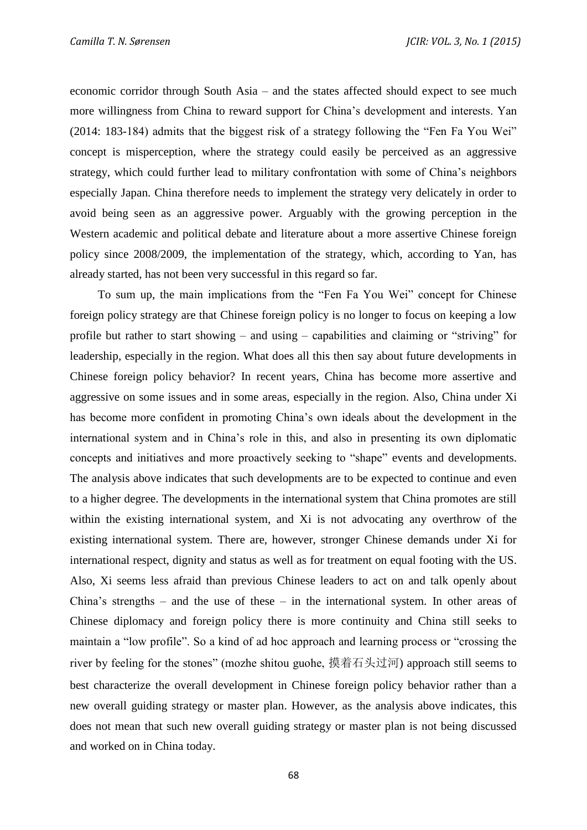economic corridor through South Asia – and the states affected should expect to see much more willingness from China to reward support for China's development and interests. Yan (2014: 183-184) admits that the biggest risk of a strategy following the "Fen Fa You Wei" concept is misperception, where the strategy could easily be perceived as an aggressive strategy, which could further lead to military confrontation with some of China's neighbors especially Japan. China therefore needs to implement the strategy very delicately in order to avoid being seen as an aggressive power. Arguably with the growing perception in the Western academic and political debate and literature about a more assertive Chinese foreign policy since 2008/2009, the implementation of the strategy, which, according to Yan, has already started, has not been very successful in this regard so far.

To sum up, the main implications from the "Fen Fa You Wei" concept for Chinese foreign policy strategy are that Chinese foreign policy is no longer to focus on keeping a low profile but rather to start showing – and using – capabilities and claiming or "striving" for leadership, especially in the region. What does all this then say about future developments in Chinese foreign policy behavior? In recent years, China has become more assertive and aggressive on some issues and in some areas, especially in the region. Also, China under Xi has become more confident in promoting China's own ideals about the development in the international system and in China's role in this, and also in presenting its own diplomatic concepts and initiatives and more proactively seeking to "shape" events and developments. The analysis above indicates that such developments are to be expected to continue and even to a higher degree. The developments in the international system that China promotes are still within the existing international system, and Xi is not advocating any overthrow of the existing international system. There are, however, stronger Chinese demands under Xi for international respect, dignity and status as well as for treatment on equal footing with the US. Also, Xi seems less afraid than previous Chinese leaders to act on and talk openly about China's strengths – and the use of these – in the international system. In other areas of Chinese diplomacy and foreign policy there is more continuity and China still seeks to maintain a "low profile". So a kind of ad hoc approach and learning process or "crossing the river by feeling for the stones" (mozhe shitou guohe, 摸着石头过河) approach still seems to best characterize the overall development in Chinese foreign policy behavior rather than a new overall guiding strategy or master plan. However, as the analysis above indicates, this does not mean that such new overall guiding strategy or master plan is not being discussed and worked on in China today.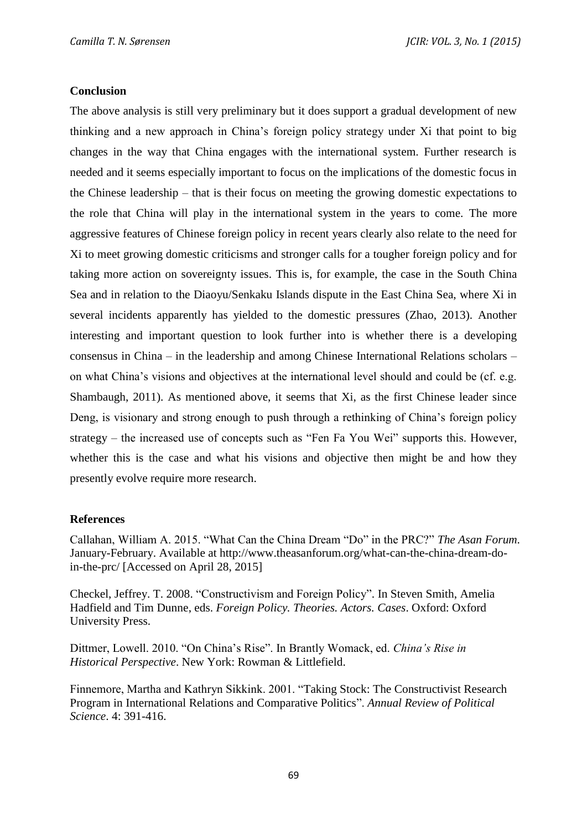## **Conclusion**

The above analysis is still very preliminary but it does support a gradual development of new thinking and a new approach in China's foreign policy strategy under Xi that point to big changes in the way that China engages with the international system. Further research is needed and it seems especially important to focus on the implications of the domestic focus in the Chinese leadership – that is their focus on meeting the growing domestic expectations to the role that China will play in the international system in the years to come. The more aggressive features of Chinese foreign policy in recent years clearly also relate to the need for Xi to meet growing domestic criticisms and stronger calls for a tougher foreign policy and for taking more action on sovereignty issues. This is, for example, the case in the South China Sea and in relation to the Diaoyu/Senkaku Islands dispute in the East China Sea, where Xi in several incidents apparently has yielded to the domestic pressures (Zhao, 2013). Another interesting and important question to look further into is whether there is a developing consensus in China – in the leadership and among Chinese International Relations scholars – on what China's visions and objectives at the international level should and could be (cf. e.g. Shambaugh, 2011). As mentioned above, it seems that Xi, as the first Chinese leader since Deng, is visionary and strong enough to push through a rethinking of China's foreign policy strategy – the increased use of concepts such as "Fen Fa You Wei" supports this. However, whether this is the case and what his visions and objective then might be and how they presently evolve require more research.

### **References**

Callahan, William A. 2015. "What Can the China Dream "Do" in the PRC?" *The Asan Forum*. January-February. Available at http://www.theasanforum.org/what-can-the-china-dream-doin-the-prc/ [Accessed on April 28, 2015]

Checkel, Jeffrey. T. 2008. "Constructivism and Foreign Policy". In Steven Smith, Amelia Hadfield and Tim Dunne, eds. *Foreign Policy. Theories. Actors. Cases*. Oxford: Oxford University Press.

Dittmer, Lowell. 2010. "On China's Rise". In Brantly Womack, ed. *China's Rise in Historical Perspective*. New York: Rowman & Littlefield.

Finnemore, Martha and Kathryn Sikkink. 2001. "Taking Stock: The Constructivist Research Program in International Relations and Comparative Politics". *Annual Review of Political Science*. 4: 391-416.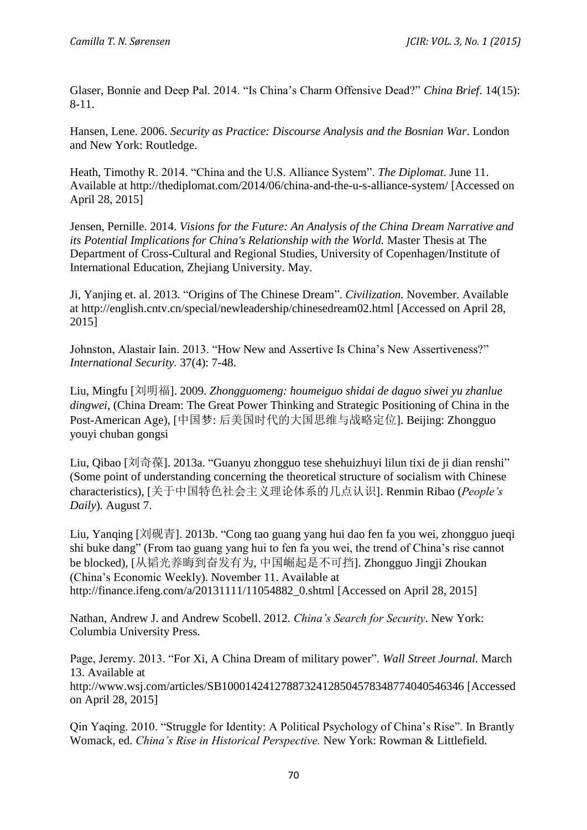Glaser, Bonnie and Deep Pal. 2014. "Is China's Charm Offensive Dead?" *China Brief*. 14(15): 8-11.

Hansen, Lene. 2006. *Security as Practice: Discourse Analysis and the Bosnian War*. London and New York: Routledge.

Heath, Timothy R. 2014. "China and the U.S. Alliance System". *The Diplomat*. June 11. Available at http://thediplomat.com/2014/06/china-and-the-u-s-alliance-system/ [Accessed on April 28, 2015]

Jensen, Pernille. 2014. *Visions for the Future: An Analysis of the China Dream Narrative and its Potential Implications for China's Relationship with the World.* Master Thesis at The Department of Cross-Cultural and Regional Studies, University of Copenhagen/Institute of International Education, Zhejiang University. May.

Ji, Yanjing et. al. 2013. "Origins of The Chinese Dream". *Civilization.* November. Available at http://english.cntv.cn/special/newleadership/chinesedream02.html [Accessed on April 28, 2015]

Johnston, Alastair Iain. 2013. "How New and Assertive Is China's New Assertiveness?" *International Security.* 37(4): 7-48.

Liu, Mingfu [刘明福]. 2009. *Zhongguomeng: houmeiguo shidai de daguo siwei yu zhanlue dingwei,* (China Dream: The Great Power Thinking and Strategic Positioning of China in the Post-American Age), [中国梦: 后美国时代的大国思维与战略定位]. Beijing: Zhongguo youyi chuban gongsi

Liu, Qibao [刘奇葆]. 2013a. "Guanyu zhongguo tese shehuizhuyi lilun tixi de ji dian renshi" (Some point of understanding concerning the theoretical structure of socialism with Chinese characteristics), [关于中国特色社会主义理论体系的几点认识]. Renmin Ribao (*People's Daily*)*.* August 7.

Liu, Yanqing [刘砚青]. 2013b. "Cong tao guang yang hui dao fen fa you wei, zhongguo jueqi shi buke dang" (From tao guang yang hui to fen fa you wei, the trend of China's rise cannot be blocked), [从韬光养晦到奋发有为, 中国崛起是不可挡]. Zhongguo Jingji Zhoukan (China's Economic Weekly). November 11. Available at http://finance.ifeng.com/a/20131111/11054882 0.shtml [Accessed on April 28, 2015]

Nathan, Andrew J. and Andrew Scobell. 2012. *China's Search for Security*. New York: Columbia University Press.

Page, Jeremy. 2013. "For Xi, A China Dream of military power". *Wall Street Journal.* March 13. Available at http://www.wsj.com/articles/SB10001424127887324128504578348774040546346 [Accessed on April 28, 2015]

Qin Yaqing. 2010. "Struggle for Identity: A Political Psychology of China's Rise". In Brantly Womack, ed. *China's Rise in Historical Perspective.* New York: Rowman & Littlefield.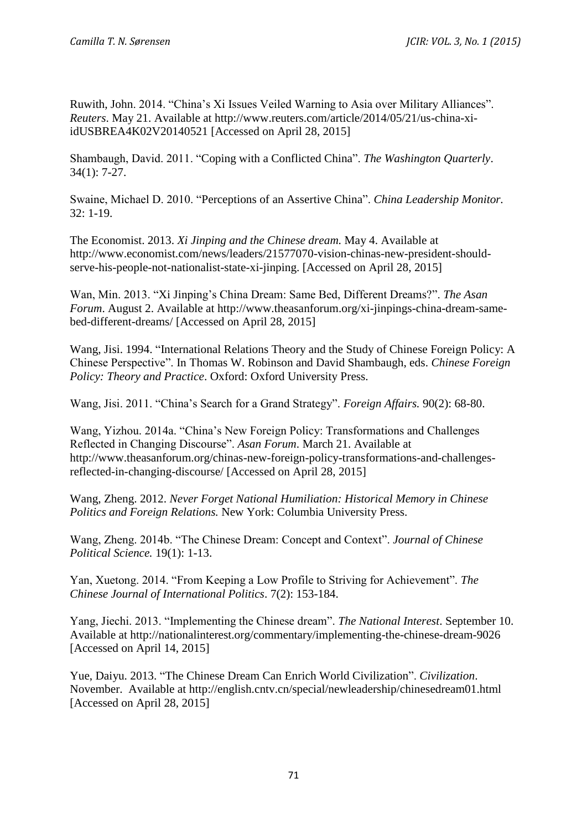Ruwith, John. 2014. "China's Xi Issues Veiled Warning to Asia over Military Alliances". *Reuters*. May 21. Available at http://www.reuters.com/article/2014/05/21/us-china-xiidUSBREA4K02V20140521 [Accessed on April 28, 2015]

Shambaugh, David. 2011. "Coping with a Conflicted China". *The Washington Quarterly*. 34(1): 7-27.

Swaine, Michael D. 2010. "Perceptions of an Assertive China". *China Leadership Monitor.* 32: 1-19.

The Economist. 2013. *Xi Jinping and the Chinese dream.* May 4. Available at http://www.economist.com/news/leaders/21577070-vision-chinas-new-president-shouldserve-his-people-not-nationalist-state-xi-jinping. [Accessed on April 28, 2015]

Wan, Min. 2013. "Xi Jinping's China Dream: Same Bed, Different Dreams?". *The Asan Forum*. August 2. Available at http://www.theasanforum.org/xi-jinpings-china-dream-samebed-different-dreams/ [Accessed on April 28, 2015]

Wang, Jisi. 1994. "International Relations Theory and the Study of Chinese Foreign Policy: A Chinese Perspective". In Thomas W. Robinson and David Shambaugh, eds. *Chinese Foreign Policy: Theory and Practice*. Oxford: Oxford University Press.

Wang, Jisi. 2011. "China's Search for a Grand Strategy". *Foreign Affairs.* 90(2): 68-80.

Wang, Yizhou. 2014a. "China's New Foreign Policy: Transformations and Challenges Reflected in Changing Discourse". *Asan Forum*. March 21. Available at http://www.theasanforum.org/chinas-new-foreign-policy-transformations-and-challengesreflected-in-changing-discourse/ [Accessed on April 28, 2015]

Wang, Zheng. 2012. *Never Forget National Humiliation: Historical Memory in Chinese Politics and Foreign Relations.* New York: Columbia University Press.

Wang, Zheng. 2014b. "The Chinese Dream: Concept and Context". *Journal of Chinese Political Science.* 19(1): 1-13.

Yan, Xuetong. 2014. "From Keeping a Low Profile to Striving for Achievement". *The Chinese Journal of International Politics*. 7(2): 153-184.

Yang, Jiechi. 2013. "Implementing the Chinese dream". *The National Interest*. September 10. Available at http://nationalinterest.org/commentary/implementing-the-chinese-dream-9026 [Accessed on April 14, 2015]

Yue, Daiyu. 2013. "The Chinese Dream Can Enrich World Civilization". *Civilization*. November. Available at http://english.cntv.cn/special/newleadership/chinesedream01.html [Accessed on April 28, 2015]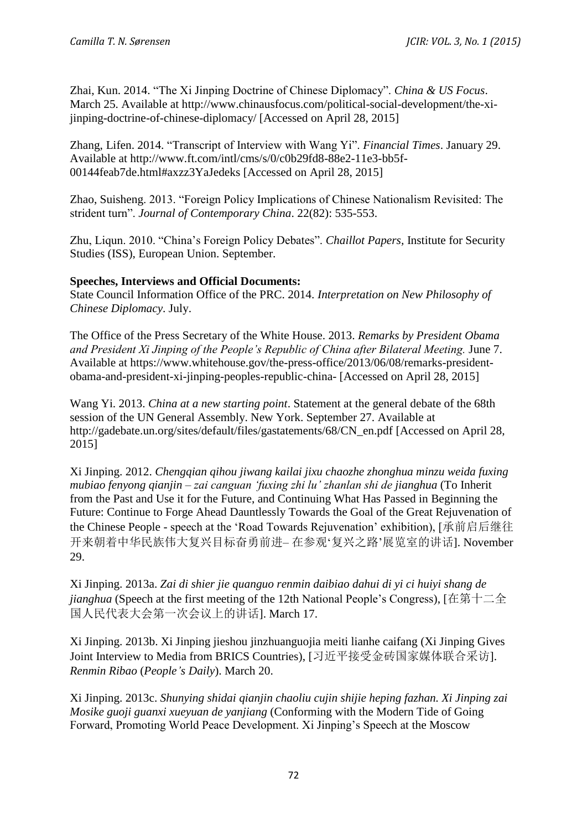Zhai, Kun. 2014. "The Xi Jinping Doctrine of Chinese Diplomacy". *China & US Focus*. March 25. Available at http://www.chinausfocus.com/political-social-development/the-xijinping-doctrine-of-chinese-diplomacy/ [Accessed on April 28, 2015]

Zhang, Lifen. 2014. "Transcript of Interview with Wang Yi". *Financial Times*. January 29. Available at http://www.ft.com/intl/cms/s/0/c0b29fd8-88e2-11e3-bb5f-00144feab7de.html#axzz3YaJedeks [Accessed on April 28, 2015]

Zhao, Suisheng. 2013. "Foreign Policy Implications of Chinese Nationalism Revisited: The strident turn". *Journal of Contemporary China*. 22(82): 535-553.

Zhu, Liqun. 2010. "China's Foreign Policy Debates". *Chaillot Papers,* Institute for Security Studies (ISS), European Union. September.

# **Speeches, Interviews and Official Documents:**

State Council Information Office of the PRC. 2014. *Interpretation on New Philosophy of Chinese Diplomacy*. July.

The Office of the Press Secretary of the White House. 2013. *Remarks by President Obama and President Xi Jinping of the People's Republic of China after Bilateral Meeting.* June 7. Available at https://www.whitehouse.gov/the-press-office/2013/06/08/remarks-presidentobama-and-president-xi-jinping-peoples-republic-china- [Accessed on April 28, 2015]

Wang Yi. 2013. *China at a new starting point*. Statement at the general debate of the 68th session of the UN General Assembly. New York. September 27. Available at http://gadebate.un.org/sites/default/files/gastatements/68/CN\_en.pdf [Accessed on April 28, 2015]

Xi Jinping. 2012. *Chengqian qihou jiwang kailai jixu chaozhe zhonghua minzu weida fuxing mubiao fenyong qianjin – zai canguan 'fuxing zhi lu' zhanlan shi de jianghua* (To Inherit from the Past and Use it for the Future, and Continuing What Has Passed in Beginning the Future: Continue to Forge Ahead Dauntlessly Towards the Goal of the Great Rejuvenation of the Chinese People - speech at the 'Road Towards Rejuvenation' exhibition), [承前启后继往 开来朝着中华民族伟大复兴目标奋勇前进*–* 在参观'复兴之路'展览室的讲话]. November 29.

Xi Jinping. 2013a. *Zai di shier jie quanguo renmin daibiao dahui di yi ci huiyi shang de jianghua* (Speech at the first meeting of the 12th National People's Congress), [在第十二全 国人民代表大会第一次会议上的讲话]. March 17.

Xi Jinping. 2013b. Xi Jinping jieshou jinzhuanguojia meiti lianhe caifang (Xi Jinping Gives Joint Interview to Media from BRICS Countries), [习近平接受金砖国家媒体联合采访]. *Renmin Ribao* (*People's Daily*). March 20.

Xi Jinping. 2013c. *Shunying shidai qianjin chaoliu cujin shijie heping fazhan. Xi Jinping zai Mosike guoji guanxi xueyuan de yanjiang* (Conforming with the Modern Tide of Going Forward, Promoting World Peace Development. Xi Jinping's Speech at the Moscow